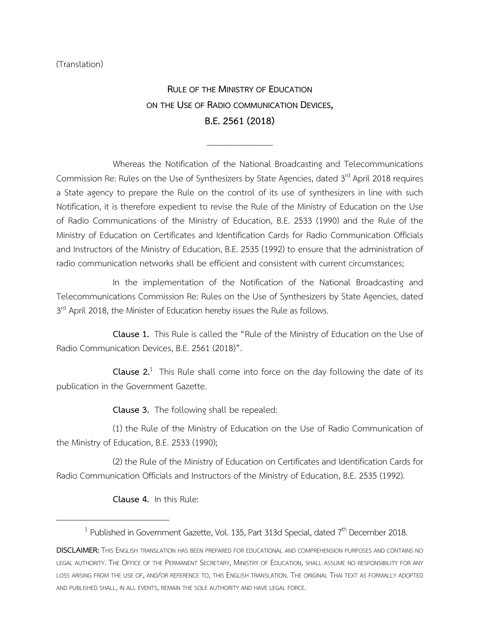(Translation)

**RULE OF THE MINISTRY OF EDUCATION ON THE USE OF RADIO COMMUNICATION DEVICES, B.E.2561(2018)**

\_\_\_\_\_\_\_\_\_\_\_\_\_\_\_

Whereas the Notification of the National Broadcasting and Telecommunications Commission Re: Rules on the Use of Synthesizers by State Agencies, dated 3rd April 2018 requires a State agency to prepare the Rule on the control of its use of synthesizers in line with such Notification, it is therefore expedient to revise the Rule of the Ministry of Education on the Use of Radio Communications of the Ministry of Education, B.E. 2533 (1990) and the Rule of the Ministry of Education on Certificates and Identification Cards for Radio Communication Officials and Instructors of the Ministry of Education, B.E. 2535 (1992) to ensure that the administration of radio communication networks shall be efficient and consistent with current circumstances;

In the implementation of the Notification of the National Broadcasting and Telecommunications Commission Re: Rules on the Use of Synthesizers by State Agencies, dated 3<sup>rd</sup> April 2018, the Minister of Education hereby issues the Rule as follows.

**Clause 1.** This Rule is called the "Rule of the Ministry of Education on the Use of Radio Communication Devices, B.E. 2561 (2018)".

**Clause 2.**<sup>1</sup> This Rule shall come into force on the day following the date of its publication in the Government Gazette.

**Clause 3.** The following shall be repealed:

(1) the Rule of the Ministry of Education on the Use of Radio Communication of the Ministry of Education, B.E. 2533 (1990);

(2) the Rule of the Ministry of Education on Certificates and Identification Cards for Radio Communication Officials and Instructors of the Ministry of Education, B.E. 2535 (1992).

**Clause 4.** In this Rule:

 $\overline{\phantom{a}}$ 

<sup>&</sup>lt;sup>1</sup> Published in Government Gazette, Vol. 135, Part 313d Special, dated  $7<sup>th</sup>$  December 2018.

**DISCLAIMER:** THIS ENGLISH TRANSLATION HAS BEEN PREPARED FOR EDUCATIONAL AND COMPREHENSION PURPOSES AND CONTAINS NO LEGAL AUTHORITY. THE OFFICE OF THE PERMANENT SECRETARY, MINISTRY OF EDUCATION, SHALL ASSUME NO RESPONSIBILITY FOR ANY LOSS ARISING FROM THE USE OF, AND/OR REFERENCE TO, THIS ENGLISH TRANSLATION. THE ORIGINAL THAI TEXT AS FORMALLY ADOPTED AND PUBLISHED SHALL, IN ALL EVENTS, REMAIN THE SOLE AUTHORITY AND HAVE LEGAL FORCE.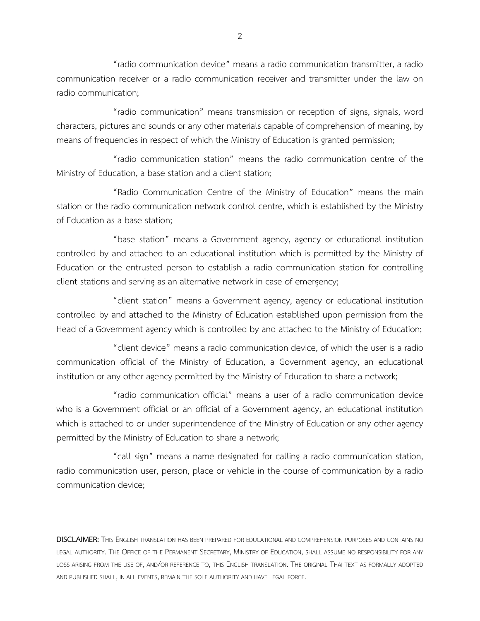"radio communication device" means a radio communication transmitter, a radio communication receiver or a radio communication receiver and transmitter under the law on radio communication;

"radio communication" means transmission or reception of signs, signals, word characters, pictures and sounds or any other materials capable of comprehension of meaning, by means of frequencies in respect of which the Ministry of Education is granted permission;

"radio communication station" means the radio communication centre of the Ministry of Education, a base station and a client station;

"Radio Communication Centre of the Ministry of Education" means the main station or the radio communication network control centre, which is established by the Ministry of Education as a base station;

"base station" means a Government agency, agency or educational institution controlled by and attached to an educational institution which is permitted by the Ministry of Education or the entrusted person to establish a radio communication station for controlling client stations and serving as an alternative network in case of emergency;

"client station" means a Government agency, agency or educational institution controlled by and attached to the Ministry of Education established upon permission from the Head of a Government agency which is controlled by and attached to the Ministry of Education;

"client device" means a radio communication device, of which the user is a radio communication official of the Ministry of Education, a Government agency, an educational institution or any other agency permitted by the Ministry of Education to share a network;

"radio communication official" means a user of a radio communication device who is a Government official or an official of a Government agency, an educational institution which is attached to or under superintendence of the Ministry of Education or any other agency permitted by the Ministry of Education to share a network;

"call sign" means a name designated for calling a radio communication station, radio communication user, person, place or vehicle in the course of communication by a radio communication device;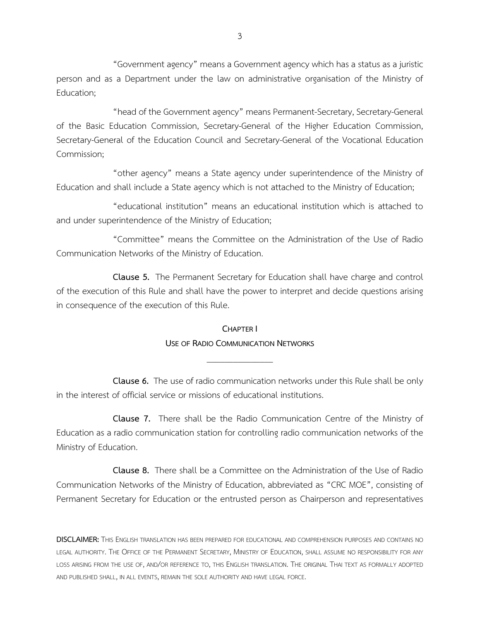"Government agency" means a Government agency which has a status as a juristic person and as a Department under the law on administrative organisation of the Ministry of Education;

"head of the Government agency" means Permanent-Secretary, Secretary-General of the Basic Education Commission, Secretary-General of the Higher Education Commission, Secretary-General of the Education Council and Secretary-General of the Vocational Education Commission;

"other agency" means a State agency under superintendence of the Ministry of Education and shall include a State agency which is not attached to the Ministry of Education;

"educational institution" means an educational institution which is attached to and under superintendence of the Ministry of Education;

"Committee" means the Committee on the Administration of the Use of Radio Communication Networks of the Ministry of Education.

**Clause 5.** The Permanent Secretary for Education shall have charge and control of the execution of this Rule and shall have the power to interpret and decide questions arising in consequence of the execution of this Rule.

# **CHAPTER I USE OF RADIO COMMUNICATION NETWORKS**

\_\_\_\_\_\_\_\_\_\_\_\_\_\_\_

**Clause 6.** The use of radio communication networks under this Rule shall be only in the interest of official service or missions of educational institutions.

**Clause 7.** There shall be the Radio Communication Centre of the Ministry of Education as a radio communication station for controlling radio communication networks of the Ministry of Education.

**Clause 8.** There shall be a Committee on the Administration of the Use of Radio Communication Networks of the Ministry of Education, abbreviated as "CRC MOE", consisting of Permanent Secretary for Education or the entrusted person as Chairperson and representatives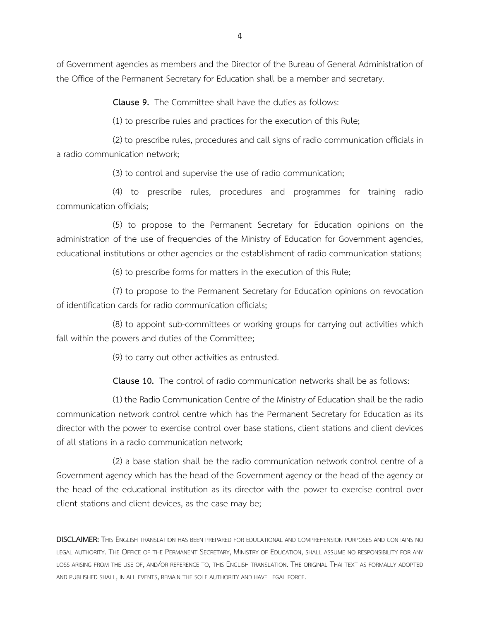of Government agencies as members and the Director of the Bureau of General Administration of the Office of the Permanent Secretary for Education shall be a member and secretary.

**Clause 9.** The Committee shall have the duties as follows:

(1) to prescribe rules and practices for the execution of this Rule;

(2) to prescribe rules, procedures and call signs of radio communication officials in a radio communication network;

(3) to control and supervise the use of radio communication;

(4) to prescribe rules, procedures and programmes for training radio communication officials;

(5) to propose to the Permanent Secretary for Education opinions on the administration of the use of frequencies of the Ministry of Education for Government agencies, educational institutions or other agencies or the establishment of radio communication stations;

(6) to prescribe forms for matters in the execution of this Rule;

(7) to propose to the Permanent Secretary for Education opinions on revocation of identification cards for radio communication officials;

(8) to appoint sub-committees or working groups for carrying out activities which fall within the powers and duties of the Committee;

(9) to carry out other activities as entrusted.

**Clause 10.** The control of radio communication networks shall be as follows:

(1) the Radio Communication Centre of the Ministry of Education shall be theradio communication network control centre which has the Permanent Secretary for Education as its director with the power to exercise control over base stations, client stations and client devices of all stations in a radio communication network;

(2) a base station shall be the radio communication network control centre of a Government agency which has the head of the Government agency or the head of the agency or the head of the educational institution as its director with the power to exercise control over client stations and client devices, as the case may be;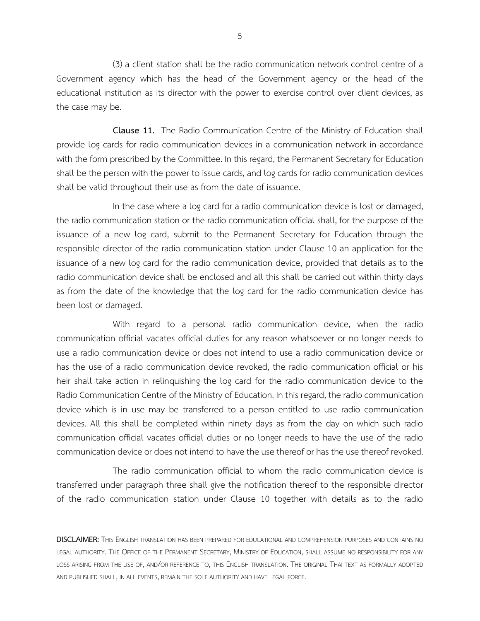(3) a client station shall be the radio communication network control centre of a Government agency which has the head of the Government agency or the head of the educational institution as its director with the power to exercise control over client devices, as the case may be.

**Clause 11.** The Radio Communication Centre of the Ministry of Education shall provide log cards for radio communication devices in a communication network in accordance with the form prescribed by the Committee. In this regard, the Permanent Secretary for Education shall be the person with the power to issue cards, and log cards for radio communication devices shall be valid throughout their use as from the date of issuance.

In the case where a log card for a radio communication device is lost or damaged, the radio communication station or the radio communication official shall, for the purpose of the issuance of a new log card, submit to the Permanent Secretary for Education through the responsible director of the radio communication station under Clause 10 an application for the issuance of a new log card for the radio communication device, provided that details as to the radio communication device shall be enclosed and all this shall be carried out within thirty days as from the date of the knowledge that the log card for the radio communication device has been lost or damaged.

With regard to a personal radio communication device, when the radio communication official vacates official duties for any reason whatsoever or no longer needs to use a radio communication device or does not intend to use a radio communication device or has the use of a radio communication device revoked, the radio communication official or his heir shall take action in relinquishing the log card for the radio communication device to the Radio Communication Centre of the Ministry of Education. In this regard, the radio communication device which is in use may be transferred to a person entitled to use radio communication devices. All this shall be completed within ninety days as from the day on which such radio communication official vacates official duties or no longer needs to have the use of the radio communication device or does not intend to have the use thereof or has the use thereof revoked.

The radio communication official to whom the radio communication device is transferred under paragraph three shall give the notification thereof to the responsible director of the radio communication station under Clause 10 together with details as to the radio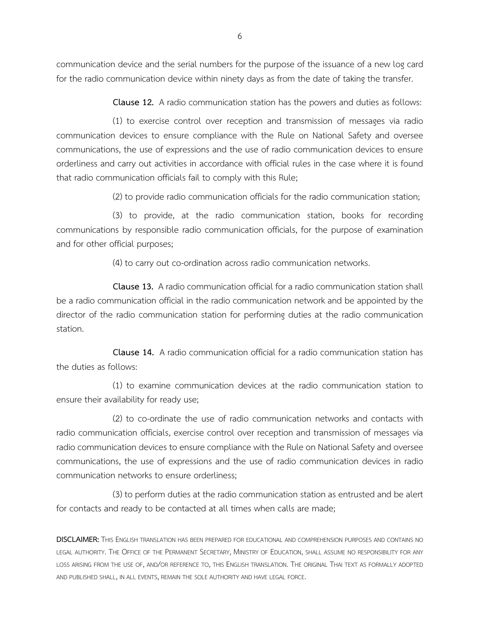communication device and the serial numbers for the purpose of the issuance of a new log card for the radio communication device within ninety days as from the date of taking the transfer.

**Clause 12.** A radio communication station has the powers and duties as follows:

(1) to exercise control over reception and transmission of messages via radio communication devices to ensure compliance with the Rule on National Safety and oversee communications, the use of expressions and the use of radio communication devices to ensure orderliness and carry out activities in accordance with official rules in the case where it is found that radio communication officials fail to comply with this Rule;

(2) to provide radio communication officials for the radio communication station;

(3) to provide, at the radio communication station, books for recording communications by responsible radio communication officials, for the purpose of examination and for other official purposes;

(4) to carry out co-ordination across radio communication networks.

**Clause 13.** A radio communication official for a radio communication station shall be a radio communication official in the radio communication network and be appointed by the director of the radio communication station for performing duties at the radio communication station.

**Clause 14.** A radio communication official for a radio communication station has the duties as follows:

(1) to examine communication devices at the radio communication station to ensure their availability for ready use;

(2) to co-ordinate the use of radio communication networks and contacts with radio communication officials, exercise control over reception and transmission of messages via radio communication devices to ensure compliance with the Rule on National Safety and oversee communications, the use of expressions and the use of radio communication devices in radio communication networks to ensure orderliness;

(3) to perform duties at the radio communication station as entrusted and be alert for contacts and ready to be contacted at all times when calls are made;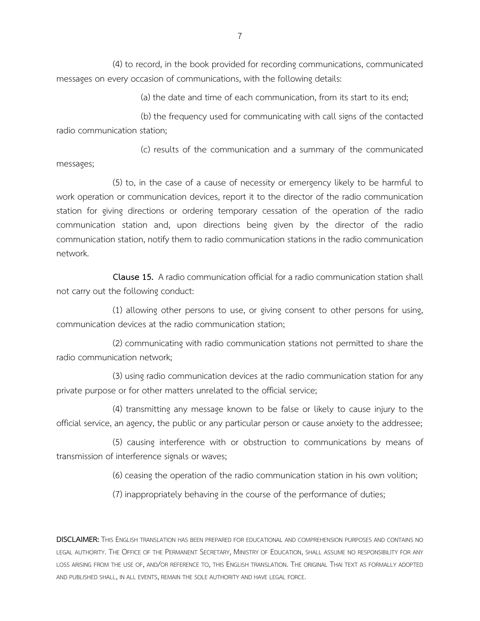(4) to record, in the book provided for recording communications, communicated messages on every occasion of communications, with the following details:

(a) the date and time of each communication, from its start to its end;

(b) the frequency used for communicating with call signs of the contacted radio communication station;

(c) results of the communication and a summary of the communicated messages;

(5) to, in the case of a cause of necessity or emergency likely to be harmful to work operation or communication devices, report it to the director of the radio communication station for giving directions or ordering temporary cessation of the operation of the radio communication station and, upon directions being given by the director of the radio communication station, notify them to radio communication stations in the radio communication network.

**Clause 15.** A radio communication official for a radio communication station shall not carry out the following conduct:

(1) allowing other persons to use, or giving consent to other persons for using, communication devices at the radio communication station;

(2) communicating with radio communication stations not permitted to share the radio communication network;

(3) using radio communication devices at the radio communication station for any private purpose or for other matters unrelated to the official service;

(4) transmitting any message known to be false or likely to cause injury to the official service, an agency, the public or any particular person or cause anxiety to the addressee;

(5) causing interference with or obstruction to communications by means of transmission of interference signals or waves;

(6) ceasing the operation of the radio communication station in his own volition;

(7) inappropriately behaving in the course of the performance of duties;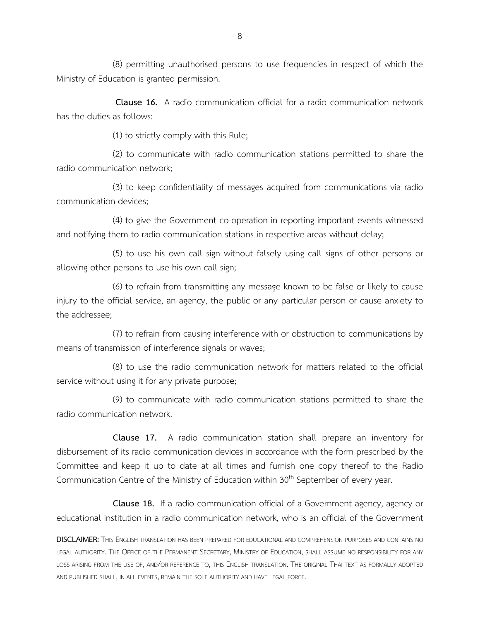(8) permitting unauthorised persons to use frequencies in respect of which the Ministry of Education is granted permission.

**Clause 16.** A radio communication official for a radio communication network has the duties as follows:

(1) to strictly comply with this Rule;

(2) to communicate with radio communication stations permitted to share the radio communication network;

(3) to keep confidentiality of messages acquired from communications via radio communication devices;

(4) to give the Government co-operation in reporting important events witnessed and notifying them to radio communication stations in respective areas without delay;

(5) to use his own call sign without falsely using call signs of other persons or allowing other persons to use his own call sign;

(6) to refrain from transmitting any message known to be false or likely to cause injury to the official service, an agency, the public or any particular person or cause anxiety to the addressee;

(7) to refrain from causing interference with or obstruction to communications by means of transmission of interference signals or waves;

(8) to use the radio communication network for matters related to the official service without using it for any private purpose;

(9) to communicate with radio communication stations permitted to share the radio communication network.

**Clause 17.** A radio communication station shall prepare an inventory for disbursement of its radio communication devices in accordance with the form prescribed by the Committee and keep it up to date at all times and furnish one copy thereof to the Radio Communication Centre of the Ministry of Education within 30<sup>th</sup> September of every year.

**Clause 18.** If a radio communication official of a Government agency, agency or educational institution in a radio communication network, who is an official of the Government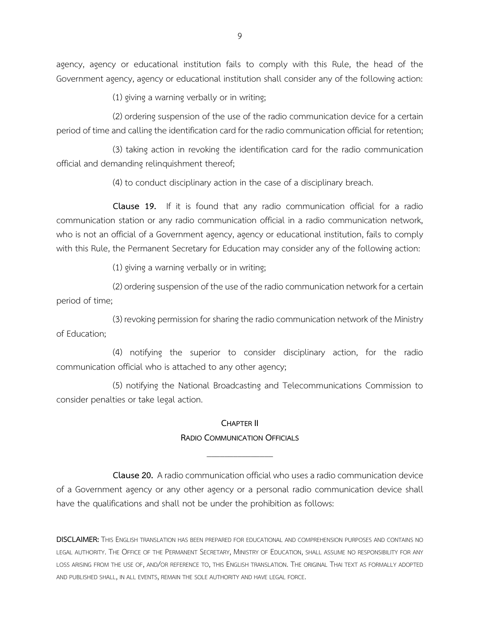agency, agency or educational institution fails to comply with this Rule, the head of the Government agency, agency or educational institution shall consider any of the following action:

(1) giving a warning verbally or in writing;

(2) ordering suspension of the use of the radio communication device for a certain period of time and calling the identification card for the radio communication official for retention;

(3) taking action in revoking the identification card for the radio communication official and demanding relinquishment thereof;

(4) to conduct disciplinary action in the case of a disciplinary breach.

**Clause 19.** If it is found that any radio communication official for a radio communication station or any radio communication official in a radio communication network, who is not an official of a Government agency, agency or educational institution, fails to comply with this Rule, the Permanent Secretary for Education may consider any of the following action:

(1) giving a warning verbally or in writing;

(2) ordering suspension of the use of the radio communication network fora certain period of time;

(3) revoking permission for sharing the radio communication network of the Ministry of Education;

(4) notifying the superior to consider disciplinary action, for the radio communication official who is attached to any other agency;

(5) notifying the National Broadcasting and Telecommunications Commission to consider penalties or take legal action.

#### **CHAPTER II**

## **RADIO COMMUNICATION OFFICIALS** \_\_\_\_\_\_\_\_\_\_\_\_\_\_\_

**Clause 20.** A radio communication official who uses a radio communication device of a Government agency or any other agency or a personal radio communication device shall have the qualifications and shall not be under the prohibition as follows: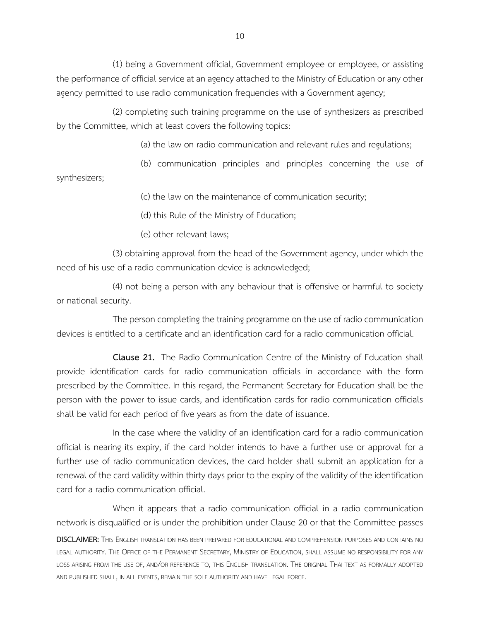(1) being a Government official, Government employee or employee, or assisting the performance of official service at an agency attached to the Ministry of Education or any other agency permitted to use radio communication frequencies with a Government agency;

(2) completing such training programme on the use of synthesizers as prescribed by the Committee, which at least covers the following topics:

(a) the law on radio communication and relevant rules and regulations;

(b) communication principles and principles concerning the use of synthesizers;

(c) the law on the maintenance of communication security;

(d) this Rule of the Ministry of Education;

(e) other relevant laws;

(3) obtaining approval from the head of the Government agency, under which the need of his use of a radio communication device is acknowledged;

(4) not being a person with any behaviour that is offensive or harmful to society or national security.

The person completing the training programme on the use of radio communication devices is entitled to a certificate and an identification card for a radio communication official.

**Clause 21.** The Radio Communication Centre of the Ministry of Education shall provide identification cards for radio communication officials in accordance with the form prescribed by the Committee. In this regard, the Permanent Secretary for Education shall be the person with the power to issue cards, and identification cards for radio communication officials shall be valid for each period of five years as from the date of issuance.

In the case where the validity of an identification card for a radio communication official is nearing its expiry, if the card holder intends to have a further use or approval for a further use of radio communication devices, the card holder shall submit an application for a renewal of the card validity within thirty days prior to the expiry of the validity of the identification card for a radio communication official.

When it appears that a radio communication official in a radio communication network is disqualified or is under the prohibition under Clause 20 or that the Committee passes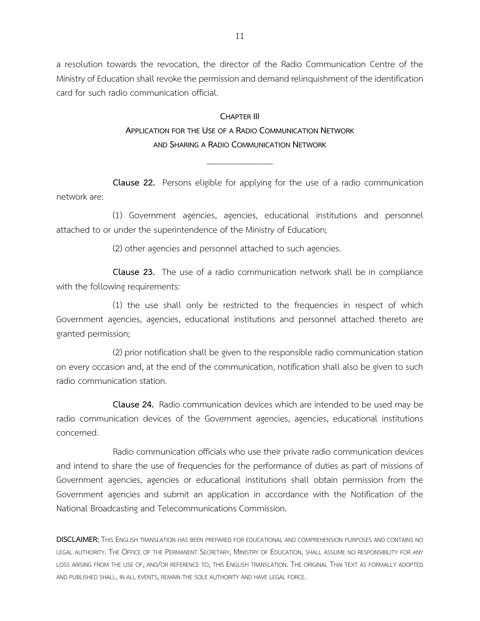a resolution towards the revocation, the director of the Radio Communication Centre of the Ministry of Education shall revoke the permission and demand relinquishment of the identification card for such radio communication official.

### **CHAPTER III APPLICATION FOR THE USE OF A RADIO COMMUNICATION NETWORK AND SHARING A RADIO COMMUNICATION NETWORK**

**Clause 22.** Persons eligible for applying for the use of a radio communication network are:

\_\_\_\_\_\_\_\_\_\_\_\_\_\_\_

(1) Government agencies, agencies, educational institutions and personnel attached to or under the superintendence of the Ministry of Education;

(2) other agencies and personnel attached to such agencies.

**Clause 23.** The use of a radio communication network shall be in compliance with the following requirements:

(1) the use shall only be restricted to the frequencies in respect of which Government agencies, agencies, educational institutions and personnel attached thereto are granted permission;

(2) prior notification shall be given to the responsible radio communication station on every occasion and, at the end of the communication, notification shall also be given to such radio communication station.

**Clause 24.** Radio communication devices which are intended to be used may be radio communication devices of the Government agencies, agencies, educational institutions concerned.

Radio communication officials who use their private radio communication devices and intend to share the use of frequencies for the performance of duties as part of missions of Government agencies, agencies or educational institutions shall obtain permission from the Government agencies and submit an application in accordance with the Notification of the National Broadcasting and Telecommunications Commission.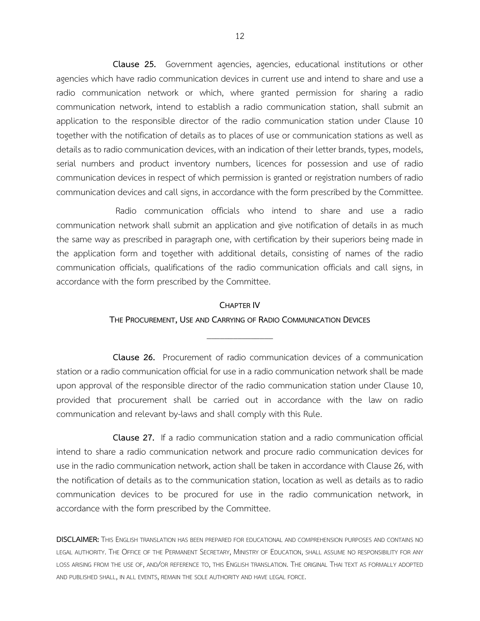**Clause 25.** Government agencies, agencies, educational institutions or other agencies which have radio communication devices in current use and intend to share and use a radio communication network or which, where granted permission for sharing a radio communication network, intend to establish a radio communication station, shall submit an application to the responsible director of the radio communication station under Clause 10 together with the notification of details as to places of use or communication stations as well as details as to radio communication devices, with an indication of their letter brands, types, models, serial numbers and product inventory numbers, licences for possession and use of radio communication devices in respect of which permission is granted or registration numbers of radio communication devices and call signs, in accordance with the form prescribed by the Committee.

Radio communication officials who intend to share and use a radio communication network shall submit an application and give notification of details in as much the same way as prescribed in paragraph one, with certification by their superiors being made in the application form and together with additional details, consisting of names of the radio communication officials, qualifications of the radio communication officials and call signs, in accordance with the form prescribed by the Committee.

#### **CHAPTER IV**

### **THE PROCUREMENT, USE AND CARRYING OF RADIO COMMUNICATION DEVICES** \_\_\_\_\_\_\_\_\_\_\_\_\_\_\_

**Clause 26.** Procurement of radio communication devices of a communication station or a radio communication official for use in a radio communication network shall be made upon approval of the responsible director of the radio communication station under Clause 10, provided that procurement shall be carried out in accordance with the law on radio communication and relevant by-laws and shall comply with this Rule.

**Clause 27.** If a radio communication station and a radio communication official intend to share a radio communication network and procure radio communication devices for use in the radio communication network, action shall be taken in accordance with Clause 26, with the notification of details as to the communication station, location as well as details as to radio communication devices to be procured for use in the radio communication network, in accordance with the form prescribed by the Committee.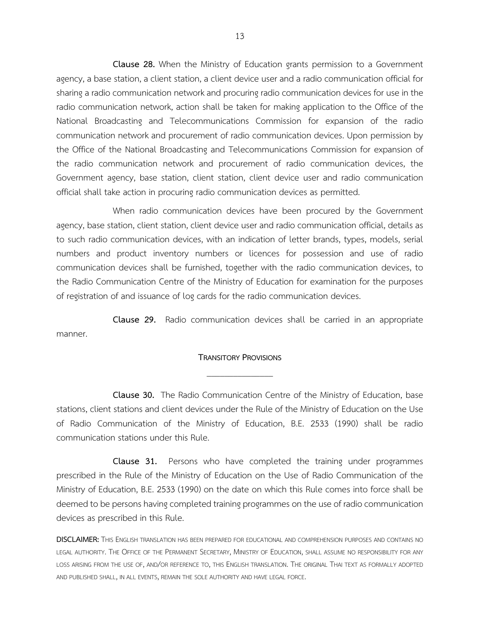**Clause 28.** When the Ministry of Education grants permission to a Government agency, a base station, a client station, a client device user and a radio communication official for sharing a radio communication network and procuring radio communication devices for use in the radio communication network, action shall be taken for making application to the Office of the National Broadcasting and Telecommunications Commission for expansion of the radio communication network and procurement of radio communication devices. Upon permission by the Office of the National Broadcasting and Telecommunications Commission for expansion of the radio communication network and procurement of radio communication devices, the Government agency, base station, client station, client device user and radio communication official shall take action in procuring radio communication devices as permitted.

When radio communication devices have been procured by the Government agency, base station, client station, client device user and radio communication official, details as to such radio communication devices, with an indication of letter brands, types, models, serial numbers and product inventory numbers or licences for possession and use of radio communication devices shall be furnished, together with the radio communication devices, to the Radio Communication Centre of the Ministry of Education for examination for the purposes of registration of and issuance of log cards for the radio communication devices.

**Clause 29.** Radio communication devices shall be carried in an appropriate manner.

#### **TRANSITORY PROVISIONS** \_\_\_\_\_\_\_\_\_\_\_\_\_\_\_

**Clause 30.** The Radio Communication Centre of the Ministry of Education, base stations, client stations and client devices under the Rule of the Ministry of Education on the Use of Radio Communication of the Ministry of Education, B.E. 2533 (1990) shall be radio communication stations under this Rule.

**Clause 31.** Persons who have completed the training under programmes prescribed in the Rule of the Ministry of Education on the Use of Radio Communication of the Ministry of Education, B.E. 2533 (1990) on the date on which this Rule comes into force shall be deemed to be persons having completed training programmes on the use of radio communication devices as prescribed in this Rule.